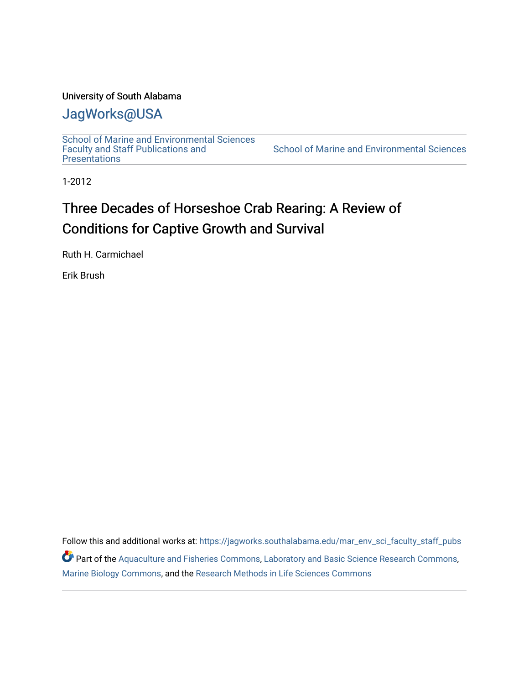### University of South Alabama

## [JagWorks@USA](https://jagworks.southalabama.edu/)

[School of Marine and Environmental Sciences](https://jagworks.southalabama.edu/mar_env_sci_faculty_staff_pubs)  [Faculty and Staff Publications and](https://jagworks.southalabama.edu/mar_env_sci_faculty_staff_pubs)  **Presentations** 

[School of Marine and Environmental Sciences](https://jagworks.southalabama.edu/mar_env_sci) 

1-2012

# Three Decades of Horseshoe Crab Rearing: A Review of Conditions for Captive Growth and Survival

Ruth H. Carmichael

Erik Brush

Follow this and additional works at: [https://jagworks.southalabama.edu/mar\\_env\\_sci\\_faculty\\_staff\\_pubs](https://jagworks.southalabama.edu/mar_env_sci_faculty_staff_pubs?utm_source=jagworks.southalabama.edu%2Fmar_env_sci_faculty_staff_pubs%2F17&utm_medium=PDF&utm_campaign=PDFCoverPages) Part of the [Aquaculture and Fisheries Commons](https://network.bepress.com/hgg/discipline/78?utm_source=jagworks.southalabama.edu%2Fmar_env_sci_faculty_staff_pubs%2F17&utm_medium=PDF&utm_campaign=PDFCoverPages), [Laboratory and Basic Science Research Commons](https://network.bepress.com/hgg/discipline/812?utm_source=jagworks.southalabama.edu%2Fmar_env_sci_faculty_staff_pubs%2F17&utm_medium=PDF&utm_campaign=PDFCoverPages), [Marine Biology Commons,](https://network.bepress.com/hgg/discipline/1126?utm_source=jagworks.southalabama.edu%2Fmar_env_sci_faculty_staff_pubs%2F17&utm_medium=PDF&utm_campaign=PDFCoverPages) and the [Research Methods in Life Sciences Commons](https://network.bepress.com/hgg/discipline/1385?utm_source=jagworks.southalabama.edu%2Fmar_env_sci_faculty_staff_pubs%2F17&utm_medium=PDF&utm_campaign=PDFCoverPages)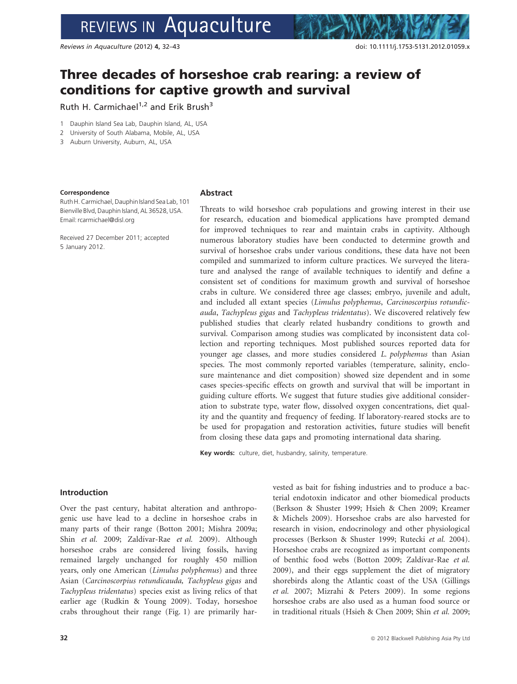## Three decades of horseshoe crab rearing: a review of conditions for captive growth and survival

Ruth H. Carmichael<sup>1,2</sup> and Erik Brush<sup>3</sup>

- 1 Dauphin Island Sea Lab, Dauphin Island, AL, USA
- 2 University of South Alabama, Mobile, AL, USA
- 3 Auburn University, Auburn, AL, USA

#### Correspondence

#### Abstract

Ruth H. Carmichael, Dauphin Island Sea Lab, 101 Bienville Blvd, Dauphin Island, AL 36528, USA. Email: rcarmichael@disl.org

Received 27 December 2011; accepted 5 January 2012.

Threats to wild horseshoe crab populations and growing interest in their use for research, education and biomedical applications have prompted demand for improved techniques to rear and maintain crabs in captivity. Although numerous laboratory studies have been conducted to determine growth and survival of horseshoe crabs under various conditions, these data have not been compiled and summarized to inform culture practices. We surveyed the literature and analysed the range of available techniques to identify and define a consistent set of conditions for maximum growth and survival of horseshoe crabs in culture. We considered three age classes; embryo, juvenile and adult, and included all extant species (Limulus polyphemus, Carcinoscorpius rotundicauda, Tachypleus gigas and Tachypleus tridentatus). We discovered relatively few published studies that clearly related husbandry conditions to growth and survival. Comparison among studies was complicated by inconsistent data collection and reporting techniques. Most published sources reported data for younger age classes, and more studies considered L. polyphemus than Asian species. The most commonly reported variables (temperature, salinity, enclosure maintenance and diet composition) showed size dependent and in some cases species-specific effects on growth and survival that will be important in guiding culture efforts. We suggest that future studies give additional consideration to substrate type, water flow, dissolved oxygen concentrations, diet quality and the quantity and frequency of feeding. If laboratory-reared stocks are to be used for propagation and restoration activities, future studies will benefit from closing these data gaps and promoting international data sharing.

Key words: culture, diet, husbandry, salinity, temperature.

#### Introduction

Over the past century, habitat alteration and anthropogenic use have lead to a decline in horseshoe crabs in many parts of their range (Botton 2001; Mishra 2009a; Shin et al. 2009; Zaldívar-Rae et al. 2009). Although horseshoe crabs are considered living fossils, having remained largely unchanged for roughly 450 million years, only one American (Limulus polyphemus) and three Asian (Carcinoscorpius rotundicauda, Tachypleus gigas and Tachypleus tridentatus) species exist as living relics of that earlier age (Rudkin & Young 2009). Today, horseshoe crabs throughout their range (Fig. 1) are primarily harvested as bait for fishing industries and to produce a bacterial endotoxin indicator and other biomedical products (Berkson & Shuster 1999; Hsieh & Chen 2009; Kreamer & Michels 2009). Horseshoe crabs are also harvested for research in vision, endocrinology and other physiological processes (Berkson & Shuster 1999; Rutecki et al. 2004). Horseshoe crabs are recognized as important components of benthic food webs (Botton 2009; Zaldívar-Rae et al. 2009), and their eggs supplement the diet of migratory shorebirds along the Atlantic coast of the USA (Gillings et al. 2007; Mizrahi & Peters 2009). In some regions horseshoe crabs are also used as a human food source or in traditional rituals (Hsieh & Chen 2009; Shin et al. 2009;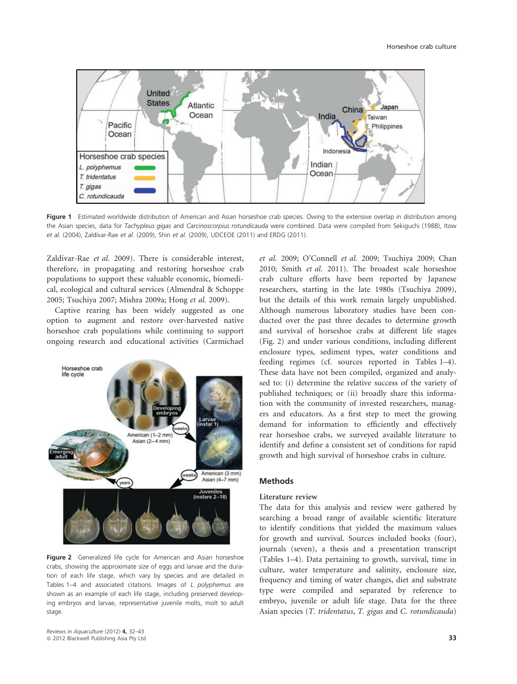

Figure 1 Estimated worldwide distribution of American and Asian horseshoe crab species. Owing to the extensive overlap in distribution among the Asian species, data for Tachypleus gigas and Carcinoscorpius rotundicauda were combined. Data were compiled from Sekiguchi (1988), Itow et al. (2004), Zaldívar-Rae et al. (2009), Shin et al. (2009), UDCEOE (2011) and ERDG (2011).

Zaldívar-Rae et al. 2009). There is considerable interest, therefore, in propagating and restoring horseshoe crab populations to support these valuable economic, biomedical, ecological and cultural services (Almendral & Schoppe 2005; Tsuchiya 2007; Mishra 2009a; Hong et al. 2009).

Captive rearing has been widely suggested as one option to augment and restore over-harvested native horseshoe crab populations while continuing to support ongoing research and educational activities (Carmichael



Figure 2 Generalized life cycle for American and Asian horseshoe crabs, showing the approximate size of eggs and larvae and the duration of each life stage, which vary by species and are detailed in Tables 1–4 and associated citations. Images of L. polyphemus are shown as an example of each life stage, including preserved developing embryos and larvae, representative juvenile molts, molt to adult stage.

et al. 2009; O'Connell et al. 2009; Tsuchiya 2009; Chan 2010; Smith et al. 2011). The broadest scale horseshoe crab culture efforts have been reported by Japanese researchers, starting in the late 1980s (Tsuchiya 2009), but the details of this work remain largely unpublished. Although numerous laboratory studies have been conducted over the past three decades to determine growth and survival of horseshoe crabs at different life stages (Fig. 2) and under various conditions, including different enclosure types, sediment types, water conditions and feeding regimes (cf. sources reported in Tables 1–4). These data have not been compiled, organized and analysed to: (i) determine the relative success of the variety of published techniques; or (ii) broadly share this information with the community of invested researchers, managers and educators. As a first step to meet the growing demand for information to efficiently and effectively rear horseshoe crabs, we surveyed available literature to identify and define a consistent set of conditions for rapid growth and high survival of horseshoe crabs in culture.

#### Methods

#### Literature review

The data for this analysis and review were gathered by searching a broad range of available scientific literature to identify conditions that yielded the maximum values for growth and survival. Sources included books (four), journals (seven), a thesis and a presentation transcript (Tables 1–4). Data pertaining to growth, survival, time in culture, water temperature and salinity, enclosure size, frequency and timing of water changes, diet and substrate type were compiled and separated by reference to embryo, juvenile or adult life stage. Data for the three Asian species (T. tridentatus, T. gigas and C. rotundicauda)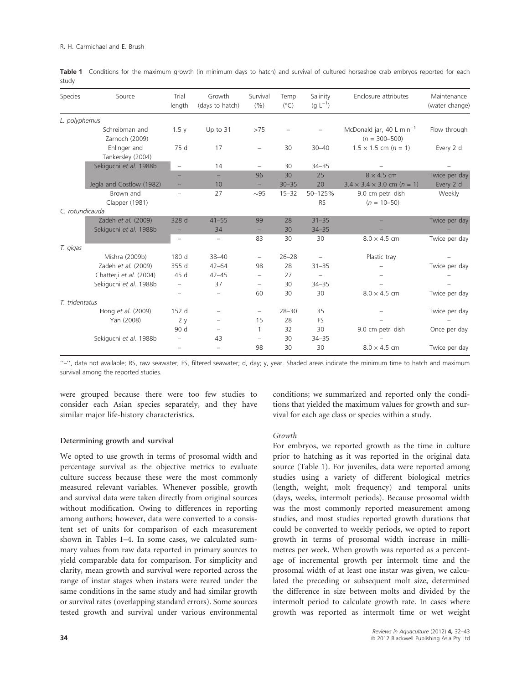|       | Table 1 Conditions for the maximum growth (in minimum days to hatch) and survival of cultured horseshoe crab embryos reported for each |  |  |  |  |  |  |  |
|-------|----------------------------------------------------------------------------------------------------------------------------------------|--|--|--|--|--|--|--|
| study |                                                                                                                                        |  |  |  |  |  |  |  |

| Species         | Source                                        | Trial<br>length          | Growth<br>(days to hatch) | Survival<br>(9/6)              | Temp<br>$(^{\circ}C)$ | Salinity<br>$(g L^{-1})$ | Enclosure attributes                                      | Maintenance<br>(water change) |
|-----------------|-----------------------------------------------|--------------------------|---------------------------|--------------------------------|-----------------------|--------------------------|-----------------------------------------------------------|-------------------------------|
| L. polyphemus   |                                               |                          |                           |                                |                       |                          |                                                           |                               |
|                 | Schreibman and<br>Zarnoch (2009)              | 1.5y                     | Up to 31                  | >75                            |                       |                          | McDonald jar, 40 L min <sup>-1</sup><br>$(n = 300 - 500)$ | Flow through                  |
|                 | Ehlinger and<br>Tankersley (2004)             | 75 d                     | 17                        |                                | 30                    | $30 - 40$                | $1.5 \times 1.5$ cm ( $n = 1$ )                           | Every 2 d                     |
|                 | Sekiguchi et al. 1988b                        | $\overline{\phantom{0}}$ | 14                        |                                | 30                    | $34 - 35$                |                                                           |                               |
|                 |                                               |                          | $\equiv$                  | 96                             | 30                    | 25                       | $8 \times 4.5$ cm                                         | Twice per day                 |
|                 | Jegla and Costlow (1982)                      |                          | 10                        | -                              | $30 - 35$             | 20                       | $3.4 \times 3.4 \times 3.0$ cm (n = 1)                    | Every 2 d                     |
|                 | Brown and<br>Clapper (1981)                   |                          | 27                        | $\sim$ 95                      | $15 - 32$             | 50-125%<br><b>RS</b>     | 9.0 cm petri dish<br>$(n = 10 - 50)$                      | Weekly                        |
| C. rotundicauda |                                               |                          |                           |                                |                       |                          |                                                           |                               |
|                 | Zadeh et al. (2009)<br>Sekiguchi et al. 1988b | 328 d                    | $41 - 55$<br>34           | 99<br>$\overline{\phantom{0}}$ | 28<br>30              | $31 - 35$<br>$34 - 35$   |                                                           | Twice per day                 |
|                 |                                               | $\overline{\phantom{0}}$ | $\overline{\phantom{m}}$  | 83                             | 30                    | 30                       | $8.0 \times 4.5$ cm                                       | Twice per day                 |
| T. gigas        |                                               |                          |                           |                                |                       |                          |                                                           |                               |
|                 | Mishra (2009b)                                | 180 d                    | $38 - 40$                 | $\overline{\phantom{0}}$       | $26 - 28$             |                          | Plastic tray                                              |                               |
|                 | Zadeh et al. (2009)                           | 355 d                    | $42 - 64$                 | 98                             | 28                    | $31 - 35$                |                                                           | Twice per day                 |
|                 | Chatterji et al. (2004)                       | 45 d                     | $42 - 45$                 | $\overline{\phantom{0}}$       | 27                    |                          |                                                           |                               |
|                 | Sekiguchi et al. 1988b                        |                          | 37                        | $\overline{\phantom{0}}$       | 30                    | $34 - 35$                |                                                           |                               |
|                 |                                               |                          |                           | 60                             | 30                    | 30                       | $8.0 \times 4.5$ cm                                       | Twice per day                 |
| T. tridentatus  |                                               |                          |                           |                                |                       |                          |                                                           |                               |
|                 | Hong et al. (2009)                            | 152 d                    |                           | $\overline{\phantom{m}}$       | $28 - 30$             | 35                       |                                                           | Twice per day                 |
|                 | Yan (2008)                                    | 2 <sub>y</sub>           |                           | 15                             | 28                    | <b>FS</b>                |                                                           |                               |
|                 |                                               | 90 $d$                   |                           | 1                              | 32                    | 30                       | 9.0 cm petri dish                                         | Once per day                  |
|                 | Sekiguchi et al. 1988b                        |                          | 43                        | $\overline{\phantom{0}}$<br>98 | 30<br>30              | $34 - 35$<br>30          | $8.0 \times 4.5$ cm                                       | Twice per day                 |

''–'', data not available; RS, raw seawater; FS, filtered seawater; d, day; y, year. Shaded areas indicate the minimum time to hatch and maximum survival among the reported studies.

were grouped because there were too few studies to consider each Asian species separately, and they have similar major life-history characteristics.

conditions; we summarized and reported only the conditions that yielded the maximum values for growth and survival for each age class or species within a study.

#### Determining growth and survival

We opted to use growth in terms of prosomal width and percentage survival as the objective metrics to evaluate culture success because these were the most commonly measured relevant variables. Whenever possible, growth and survival data were taken directly from original sources without modification. Owing to differences in reporting among authors; however, data were converted to a consistent set of units for comparison of each measurement shown in Tables 1–4. In some cases, we calculated summary values from raw data reported in primary sources to yield comparable data for comparison. For simplicity and clarity, mean growth and survival were reported across the range of instar stages when instars were reared under the same conditions in the same study and had similar growth or survival rates (overlapping standard errors). Some sources tested growth and survival under various environmental

#### Growth

For embryos, we reported growth as the time in culture prior to hatching as it was reported in the original data source (Table 1). For juveniles, data were reported among studies using a variety of different biological metrics (length, weight, molt frequency) and temporal units (days, weeks, intermolt periods). Because prosomal width was the most commonly reported measurement among studies, and most studies reported growth durations that could be converted to weekly periods, we opted to report growth in terms of prosomal width increase in millimetres per week. When growth was reported as a percentage of incremental growth per intermolt time and the prosomal width of at least one instar was given, we calculated the preceding or subsequent molt size, determined the difference in size between molts and divided by the intermolt period to calculate growth rate. In cases where growth was reported as intermolt time or wet weight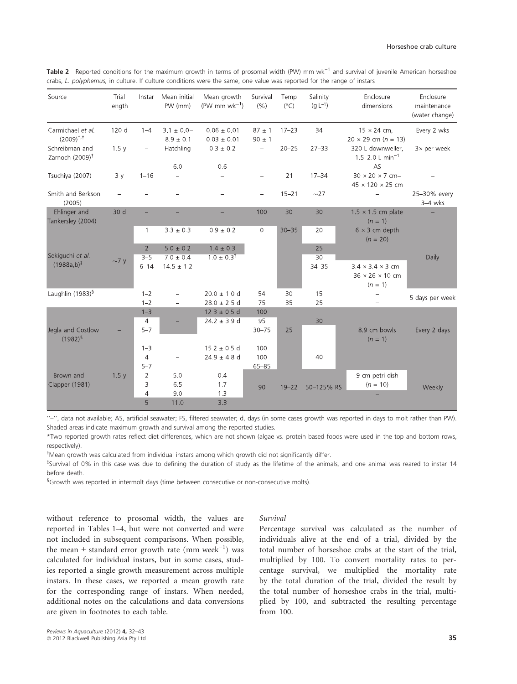| Source                                         | Trial<br>length | Instar                    | Mean initial<br>PW (mm)          | Mean growth<br>$(PW$ mm $wk^{-1}$ ) | Survival<br>(9/6)        | Temp<br>$(^{\circ}C)$ | Salinity<br>$(qL^{-1})$ | Enclosure<br>dimensions                                                   | Enclosure<br>maintenance<br>(water change) |
|------------------------------------------------|-----------------|---------------------------|----------------------------------|-------------------------------------|--------------------------|-----------------------|-------------------------|---------------------------------------------------------------------------|--------------------------------------------|
| Carmichael et al.<br>$(2009)^{*}$ <sup>+</sup> | 120 d           | $1 - 4$                   | $3.1 \pm 0.0 -$<br>$8.9 \pm 0.1$ | $0.06 \pm 0.01$<br>$0.03 \pm 0.01$  | $87 \pm 1$<br>$90 \pm 1$ | $17 - 23$             | 34                      | $15 \times 24$ cm,<br>$20 \times 29$ cm (n = 13)                          | Every 2 wks                                |
| Schreibman and<br>Zarnoch (2009) <sup>†</sup>  | 1.5y            | $\qquad \qquad -$         | Hatchling                        | $0.3 \pm 0.2$                       | $\overline{\phantom{0}}$ | $20 - 25$             | $27 - 33$               | 320 L downweller,<br>1.5-2.0 L min <sup>-1</sup>                          | $3 \times$ per week                        |
| Tsuchiya (2007)                                | 3y              | $1 - 16$                  | 6.0                              | 06                                  | $\overline{\phantom{0}}$ | 21                    | $17 - 34$               | AS<br>$30 \times 20 \times 7$ cm-<br>$45 \times 120 \times 25$ cm         |                                            |
| Smith and Berkson<br>(2005)                    |                 |                           |                                  |                                     |                          | $15 - 21$             | $\sim$ 27               |                                                                           | 25-30% every<br>$3-4$ wks                  |
| Ehlinger and<br>Tankersley (2004)              | 30 d            | ۳                         |                                  | Ξ.                                  | 100                      | 30                    | 30                      | $1.5 \times 1.5$ cm plate<br>$(n = 1)$                                    |                                            |
|                                                |                 | $\mathbf{1}$              | $3.3 \pm 0.3$                    | $0.9 \pm 0.2$                       | $\mathbf{0}$             | $30 - 35$             | 20                      | $6 \times 3$ cm depth<br>$(n = 20)$                                       |                                            |
|                                                |                 | $\overline{2}$            | $5.0 \pm 0.2$                    | $1.4 \pm 0.3$                       |                          |                       | 25                      |                                                                           |                                            |
| Sekiguchi et al.                               | $\sim$ 7 y      | $3 - 5$                   | $70 \pm 04$                      | $1.0 \pm 0.3$ <sup>†</sup>          |                          |                       | 30                      |                                                                           | Daily                                      |
| $(1988a,b)^{\ddagger}$                         |                 | $6 - 14$                  | $14.5 \pm 1.2$                   |                                     |                          |                       | $34 - 35$               | $3.4 \times 3.4 \times 3$ cm-<br>$36 \times 26 \times 10$ cm<br>$(n = 1)$ |                                            |
| Laughlin $(1983)^5$                            |                 | $1 - 2$                   |                                  | $20.0 \pm 1.0$ d                    | 54                       | 30                    | 15                      |                                                                           |                                            |
|                                                |                 | $1 - 2$                   |                                  | $28.0 \pm 2.5$ d                    | 75                       | 35                    | 25                      |                                                                           | 5 days per week                            |
|                                                |                 | $1 - 3$                   |                                  | $12.3 \pm 0.5$ d                    | 100                      |                       |                         |                                                                           |                                            |
|                                                |                 | $\overline{4}$            |                                  | $24.2 \pm 3.9$ d                    | 95                       |                       | 30                      |                                                                           |                                            |
| Jegla and Costlow<br>$(1982)^{5}$              |                 | $5 - 7$                   |                                  |                                     | $30 - 75$                | 25                    |                         | 8.9 cm bowls<br>$(n = 1)$                                                 | Every 2 days                               |
|                                                |                 | $1 - 3$                   |                                  | $15.2 \pm 0.5$ d                    | 100                      |                       |                         |                                                                           |                                            |
|                                                |                 | $\overline{4}$<br>$5 - 7$ |                                  | $24.9 \pm 4.8$ d                    | 100<br>$65 - 85$         |                       | 40                      |                                                                           |                                            |
| Brown and                                      | 1.5y            | 2                         | 5.0                              | 0.4                                 |                          |                       |                         | 9 cm petri dish                                                           |                                            |
| Clapper (1981)                                 |                 | 3                         | 6.5                              | 1.7                                 | 90                       | $19 - 22$             | 50-125% RS              | $(n = 10)$                                                                | Weekly                                     |
|                                                |                 | $\overline{4}$            | 9.0                              | 1.3                                 |                          |                       |                         |                                                                           |                                            |
|                                                |                 | 5                         | 11.0                             | 3.3                                 |                          |                       |                         |                                                                           |                                            |

Table 2 Reported conditions for the maximum growth in terms of prosomal width (PW) mm wk<sup>-1</sup> and survival of juvenile American horseshoe crabs, L. polyphemus, in culture. If culture conditions were the same, one value was reported for the range of instars

''–'', data not available; AS, artificial seawater; FS, filtered seawater; d, days (in some cases growth was reported in days to molt rather than PW). Shaded areas indicate maximum growth and survival among the reported studies.

\*Two reported growth rates reflect diet differences, which are not shown (algae vs. protein based foods were used in the top and bottom rows, respectively).

- Mean growth was calculated from individual instars among which growth did not significantly differ.

 Survival of 0% in this case was due to defining the duration of study as the lifetime of the animals, and one animal was reared to instar 14 before death.

<sup>§</sup>Growth was reported in intermolt days (time between consecutive or non-consecutive molts).

without reference to prosomal width, the values are reported in Tables 1–4, but were not converted and were not included in subsequent comparisons. When possible, the mean  $\pm$  standard error growth rate (mm week<sup>-1</sup>) was calculated for individual instars, but in some cases, studies reported a single growth measurement across multiple instars. In these cases, we reported a mean growth rate for the corresponding range of instars. When needed, additional notes on the calculations and data conversions are given in footnotes to each table.

#### Survival

Percentage survival was calculated as the number of individuals alive at the end of a trial, divided by the total number of horseshoe crabs at the start of the trial, multiplied by 100. To convert mortality rates to percentage survival, we multiplied the mortality rate by the total duration of the trial, divided the result by the total number of horseshoe crabs in the trial, multiplied by 100, and subtracted the resulting percentage from 100.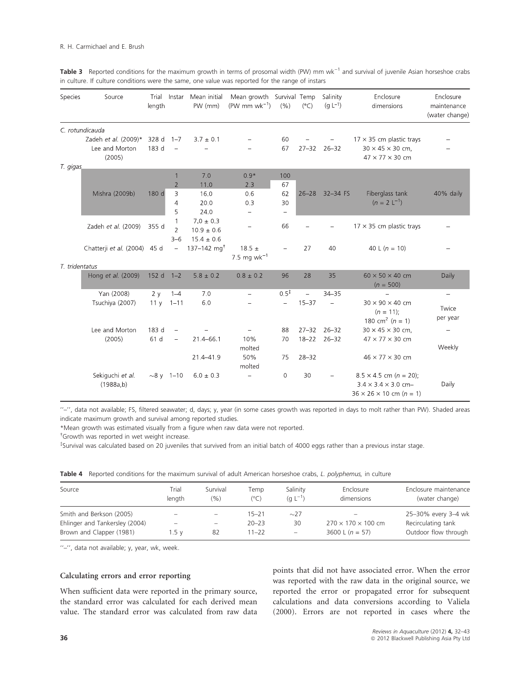| Species        | Source                                           | Trial<br>length | Instar                                        | Mean initial<br>PW (mm)                           | Mean growth Survival Temp<br>$(PW$ mm $wk^{-1}$ ) | (9/6)                 | $(^{\circ}C)$            | Salinity<br>$(q L^{-1})$ | Enclosure<br>dimensions                                                                                     | Enclosure<br>maintenance<br>(water change) |
|----------------|--------------------------------------------------|-----------------|-----------------------------------------------|---------------------------------------------------|---------------------------------------------------|-----------------------|--------------------------|--------------------------|-------------------------------------------------------------------------------------------------------------|--------------------------------------------|
|                | C. rotundicauda                                  |                 |                                               |                                                   |                                                   |                       |                          |                          |                                                                                                             |                                            |
|                | Zadeh et al. (2009)*<br>Lee and Morton<br>(2005) | 328 d<br>183 d  | $1 - 7$                                       | $3.7 \pm 0.1$                                     |                                                   | 60<br>67              |                          | $27 - 32$ $26 - 32$      | $17 \times 35$ cm plastic trays<br>$30 \times 45 \times 30$ cm,<br>$47 \times 77 \times 30$ cm              |                                            |
| T. gigas       |                                                  |                 |                                               |                                                   |                                                   |                       |                          |                          |                                                                                                             |                                            |
|                | Mishra (2009b)                                   | 180 d           | $\mathbf{1}$<br>2<br>3<br>$\overline{4}$<br>5 | 7.0<br>11.0<br>16.0<br>20.0<br>24.0               | $0.9*$<br>2.3<br>0.6<br>0.3                       | 100<br>67<br>62<br>30 | $26 - 28$                | 32-34 FS                 | Fiberglass tank<br>$(n = 2 L^{-1})$                                                                         | 40% daily                                  |
|                | Zadeh et al. (2009)                              | 355 d           | $\overline{2}$<br>$3 - 6$                     | $7.0 \pm 0.3$<br>$10.9 \pm 0.6$<br>$15.4 \pm 0.6$ |                                                   | 66                    |                          |                          | $17 \times 35$ cm plastic trays                                                                             |                                            |
|                | Chatterji et al. (2004)                          | 45 d            | $\qquad \qquad -$                             | 137-142 mg <sup>+</sup>                           | $18.5 \pm$<br>7.5 mg $wk^{-1}$                    |                       | 27                       | 40                       | 40 L $(n = 10)$                                                                                             |                                            |
| T. tridentatus |                                                  |                 |                                               |                                                   |                                                   |                       |                          |                          |                                                                                                             |                                            |
|                | Hong et al. (2009)                               | 152 d           | $1 - 2$                                       | $5.8 \pm 0.2$                                     | $0.8 \pm 0.2$                                     | 96                    | 28                       | 35                       | $60 \times 50 \times 40$ cm<br>$(n = 500)$                                                                  | Daily                                      |
|                | Yan (2008)                                       | 2 <sub>y</sub>  | $1 - 4$                                       | 7.0                                               |                                                   | $0.5^{1}$             | $\overline{\phantom{0}}$ | $34 - 35$                |                                                                                                             | $\overline{\phantom{0}}$                   |
|                | Tsuchiya (2007)                                  | 11 <sub>y</sub> | $1 - 11$                                      | 6.0                                               |                                                   |                       | $15 - 37$                | $\overline{\phantom{0}}$ | $30 \times 90 \times 40$ cm<br>$(n = 11)$ ;<br>180 cm <sup>2</sup> ( $n = 1$ )                              | Twice<br>per year                          |
|                | Lee and Morton                                   | 183 d           |                                               |                                                   |                                                   | 88                    | $27 - 32$                | $26 - 32$                | $30 \times 45 \times 30$ cm,                                                                                |                                            |
|                | (2005)                                           | 61 d            |                                               | 21 4 - 66 1                                       | 10%<br>molted                                     | 70                    | $18 - 22$                | 26-32                    | $47 \times 77 \times 30$ cm                                                                                 | Weekly                                     |
|                |                                                  |                 |                                               | 214-419                                           | 50%<br>molted                                     | 75                    | $28 - 32$                |                          | $46 \times 77 \times 30$ cm                                                                                 |                                            |
|                | Sekiguchi et al.<br>(1988a,b)                    | $\sim$ 8 y 1–10 |                                               | $6.0 \pm 0.3$                                     |                                                   | $\mathbf{O}$          | 30                       |                          | $8.5 \times 4.5$ cm ( $n = 20$ );<br>$3.4 \times 3.4 \times 3.0$ cm-<br>$36 \times 26 \times 10$ cm (n = 1) | Daily                                      |

Table 3 Reported conditions for the maximum growth in terms of prosomal width (PW) mm  $wk^{-1}$  and survival of juvenile Asian horseshoe crabs in culture. If culture conditions were the same, one value was reported for the range of instars

"-", data not available; FS, filtered seawater; d, days; y, year (in some cases growth was reported in days to molt rather than PW). Shaded areas indicate maximum growth and survival among reported studies.

\*Mean growth was estimated visually from a figure when raw data were not reported.

- Growth was reported in wet weight increase.

\*Survival was calculated based on 20 juveniles that survived from an initial batch of 4000 eggs rather than a previous instar stage.

|  |  | Table 4 Reported conditions for the maximum survival of adult American horseshoe crabs, L. polyphemus, in culture |  |  |  |  |
|--|--|-------------------------------------------------------------------------------------------------------------------|--|--|--|--|
|--|--|-------------------------------------------------------------------------------------------------------------------|--|--|--|--|

| Source                         | Trial<br>lenath | Survival<br>(%)          | Temp<br>$(^\circ C)$ | Salinity<br>$(q L^{-1})$ | Enclosure<br>dimensions        | Enclosure maintenance<br>(water change) |
|--------------------------------|-----------------|--------------------------|----------------------|--------------------------|--------------------------------|-----------------------------------------|
| Smith and Berkson (2005)       |                 | $\qquad \qquad$          | $15 - 21$            | $\sim$ 27                |                                | 25-30% every 3-4 wk                     |
| Ehlinger and Tankersley (2004) |                 | $\overline{\phantom{0}}$ | $20 - 23$            | 30                       | $270 \times 170 \times 100$ cm | Recirculating tank                      |
| Brown and Clapper (1981)       | l.5 v           | 82                       | 11–22                | $\overline{\phantom{m}}$ | 3600 L $(n = 57)$              | Outdoor flow through                    |

''–'', data not available; y, year, wk, week.

#### Calculating errors and error reporting

When sufficient data were reported in the primary source, the standard error was calculated for each derived mean value. The standard error was calculated from raw data points that did not have associated error. When the error was reported with the raw data in the original source, we reported the error or propagated error for subsequent calculations and data conversions according to Valiela (2000). Errors are not reported in cases where the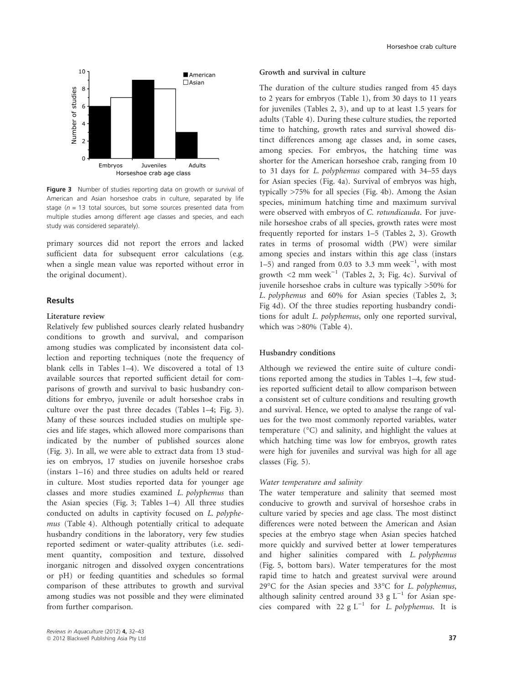

Figure 3 Number of studies reporting data on growth or survival of American and Asian horseshoe crabs in culture, separated by life stage ( $n = 13$  total sources, but some sources presented data from multiple studies among different age classes and species, and each study was considered separately).

primary sources did not report the errors and lacked sufficient data for subsequent error calculations (e.g. when a single mean value was reported without error in the original document).

#### **Results**

#### Literature review

Relatively few published sources clearly related husbandry conditions to growth and survival, and comparison among studies was complicated by inconsistent data collection and reporting techniques (note the frequency of blank cells in Tables 1–4). We discovered a total of 13 available sources that reported sufficient detail for comparisons of growth and survival to basic husbandry conditions for embryo, juvenile or adult horseshoe crabs in culture over the past three decades (Tables 1–4; Fig. 3). Many of these sources included studies on multiple species and life stages, which allowed more comparisons than indicated by the number of published sources alone (Fig. 3). In all, we were able to extract data from 13 studies on embryos, 17 studies on juvenile horseshoe crabs (instars 1–16) and three studies on adults held or reared in culture. Most studies reported data for younger age classes and more studies examined L. polyphemus than the Asian species (Fig. 3; Tables 1–4) All three studies conducted on adults in captivity focused on L. polyphemus (Table 4). Although potentially critical to adequate husbandry conditions in the laboratory, very few studies reported sediment or water-quality attributes (i.e. sediment quantity, composition and texture, dissolved inorganic nitrogen and dissolved oxygen concentrations or pH) or feeding quantities and schedules so formal comparison of these attributes to growth and survival among studies was not possible and they were eliminated from further comparison.

#### Growth and survival in culture

The duration of the culture studies ranged from 45 days to 2 years for embryos (Table 1), from 30 days to 11 years for juveniles (Tables 2, 3), and up to at least 1.5 years for adults (Table 4). During these culture studies, the reported time to hatching, growth rates and survival showed distinct differences among age classes and, in some cases, among species. For embryos, the hatching time was shorter for the American horseshoe crab, ranging from 10 to 31 days for L. polyphemus compared with 34–55 days for Asian species (Fig. 4a). Survival of embryos was high, typically >75% for all species (Fig. 4b). Among the Asian species, minimum hatching time and maximum survival were observed with embryos of C. rotundicauda. For juvenile horseshoe crabs of all species, growth rates were most frequently reported for instars 1–5 (Tables 2, 3). Growth rates in terms of prosomal width (PW) were similar among species and instars within this age class (instars 1–5) and ranged from 0.03 to 3.3 mm week<sup>-1</sup>, with most growth  $\leq 2$  mm week<sup>-1</sup> (Tables 2, 3; Fig. 4c). Survival of juvenile horseshoe crabs in culture was typically >50% for L. polyphemus and 60% for Asian species (Tables 2, 3; Fig 4d). Of the three studies reporting husbandry conditions for adult L. polyphemus, only one reported survival, which was >80% (Table 4).

#### Husbandry conditions

Although we reviewed the entire suite of culture conditions reported among the studies in Tables 1–4, few studies reported sufficient detail to allow comparison between a consistent set of culture conditions and resulting growth and survival. Hence, we opted to analyse the range of values for the two most commonly reported variables, water  $temperature$  (°C) and salinity, and highlight the values at which hatching time was low for embryos, growth rates were high for juveniles and survival was high for all age classes (Fig. 5).

#### Water temperature and salinity

The water temperature and salinity that seemed most conducive to growth and survival of horseshoe crabs in culture varied by species and age class. The most distinct differences were noted between the American and Asian species at the embryo stage when Asian species hatched more quickly and survived better at lower temperatures and higher salinities compared with L. polyphemus (Fig. 5, bottom bars). Water temperatures for the most rapid time to hatch and greatest survival were around 29 $\rm ^{\circ}C$  for the Asian species and 33 $\rm ^{\circ}C$  for *L. polyphemus*, although salinity centred around 33 g  $L^{-1}$  for Asian species compared with 22 g  $L^{-1}$  for L. polyphemus. It is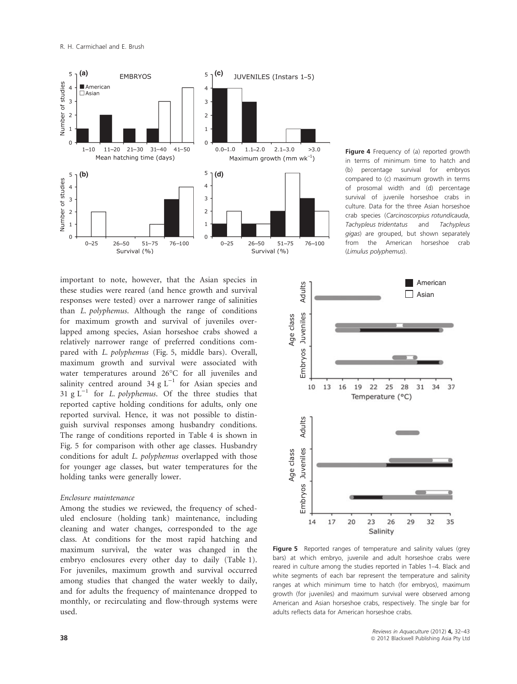

Figure 4 Frequency of (a) reported growth in terms of minimum time to hatch and (b) percentage survival for embryos compared to (c) maximum growth in terms of prosomal width and (d) percentage survival of juvenile horseshoe crabs in culture. Data for the three Asian horseshoe crab species (Carcinoscorpius rotundicauda, Tachypleus tridentatus and Tachypleus gigas) are grouped, but shown separately from the American horseshoe crab (Limulus polyphemus).

important to note, however, that the Asian species in these studies were reared (and hence growth and survival responses were tested) over a narrower range of salinities than L. polyphemus. Although the range of conditions for maximum growth and survival of juveniles overlapped among species, Asian horseshoe crabs showed a relatively narrower range of preferred conditions compared with L. polyphemus (Fig. 5, middle bars). Overall, maximum growth and survival were associated with water temperatures around 26°C for all juveniles and salinity centred around 34 g  $L^{-1}$  for Asian species and 31 g  $L^{-1}$  for L. polyphemus. Of the three studies that reported captive holding conditions for adults, only one reported survival. Hence, it was not possible to distinguish survival responses among husbandry conditions. The range of conditions reported in Table 4 is shown in Fig. 5 for comparison with other age classes. Husbandry conditions for adult L. polyphemus overlapped with those for younger age classes, but water temperatures for the holding tanks were generally lower.

#### Enclosure maintenance

Among the studies we reviewed, the frequency of scheduled enclosure (holding tank) maintenance, including cleaning and water changes, corresponded to the age class. At conditions for the most rapid hatching and maximum survival, the water was changed in the embryo enclosures every other day to daily (Table 1). For juveniles, maximum growth and survival occurred among studies that changed the water weekly to daily, and for adults the frequency of maintenance dropped to monthly, or recirculating and flow-through systems were used.



Figure 5 Reported ranges of temperature and salinity values (grey bars) at which embryo, juvenile and adult horseshoe crabs were reared in culture among the studies reported in Tables 1–4. Black and white segments of each bar represent the temperature and salinity ranges at which minimum time to hatch (for embryos), maximum growth (for juveniles) and maximum survival were observed among American and Asian horseshoe crabs, respectively. The single bar for adults reflects data for American horseshoe crabs.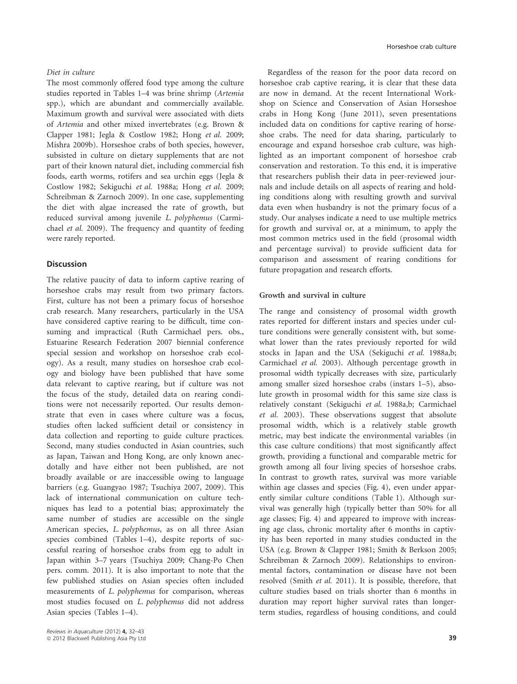#### Diet in culture

The most commonly offered food type among the culture studies reported in Tables 1–4 was brine shrimp (Artemia spp.), which are abundant and commercially available. Maximum growth and survival were associated with diets of Artemia and other mixed invertebrates (e.g. Brown & Clapper 1981; Jegla & Costlow 1982; Hong et al. 2009; Mishra 2009b). Horseshoe crabs of both species, however, subsisted in culture on dietary supplements that are not part of their known natural diet, including commercial fish foods, earth worms, rotifers and sea urchin eggs (Jegla & Costlow 1982; Sekiguchi et al. 1988a; Hong et al. 2009; Schreibman & Zarnoch 2009). In one case, supplementing the diet with algae increased the rate of growth, but reduced survival among juvenile L. polyphemus (Carmichael et al. 2009). The frequency and quantity of feeding were rarely reported.

#### **Discussion**

The relative paucity of data to inform captive rearing of horseshoe crabs may result from two primary factors. First, culture has not been a primary focus of horseshoe crab research. Many researchers, particularly in the USA have considered captive rearing to be difficult, time consuming and impractical (Ruth Carmichael pers. obs., Estuarine Research Federation 2007 biennial conference special session and workshop on horseshoe crab ecology). As a result, many studies on horseshoe crab ecology and biology have been published that have some data relevant to captive rearing, but if culture was not the focus of the study, detailed data on rearing conditions were not necessarily reported. Our results demonstrate that even in cases where culture was a focus, studies often lacked sufficient detail or consistency in data collection and reporting to guide culture practices. Second, many studies conducted in Asian countries, such as Japan, Taiwan and Hong Kong, are only known anecdotally and have either not been published, are not broadly available or are inaccessible owing to language barriers (e.g. Guangyao 1987; Tsuchiya 2007, 2009). This lack of international communication on culture techniques has lead to a potential bias; approximately the same number of studies are accessible on the single American species, L. polyphemus, as on all three Asian species combined (Tables 1–4), despite reports of successful rearing of horseshoe crabs from egg to adult in Japan within 3–7 years (Tsuchiya 2009; Chang-Po Chen pers. comm. 2011). It is also important to note that the few published studies on Asian species often included measurements of L. polyphemus for comparison, whereas most studies focused on L. polyphemus did not address Asian species (Tables 1–4).

Regardless of the reason for the poor data record on horseshoe crab captive rearing, it is clear that these data are now in demand. At the recent International Workshop on Science and Conservation of Asian Horseshoe crabs in Hong Kong (June 2011), seven presentations included data on conditions for captive rearing of horseshoe crabs. The need for data sharing, particularly to encourage and expand horseshoe crab culture, was highlighted as an important component of horseshoe crab conservation and restoration. To this end, it is imperative that researchers publish their data in peer-reviewed journals and include details on all aspects of rearing and holding conditions along with resulting growth and survival data even when husbandry is not the primary focus of a study. Our analyses indicate a need to use multiple metrics for growth and survival or, at a minimum, to apply the most common metrics used in the field (prosomal width and percentage survival) to provide sufficient data for comparison and assessment of rearing conditions for future propagation and research efforts.

#### Growth and survival in culture

The range and consistency of prosomal width growth rates reported for different instars and species under culture conditions were generally consistent with, but somewhat lower than the rates previously reported for wild stocks in Japan and the USA (Sekiguchi et al. 1988a,b; Carmichael et al. 2003). Although percentage growth in prosomal width typically decreases with size, particularly among smaller sized horseshoe crabs (instars 1–5), absolute growth in prosomal width for this same size class is relatively constant (Sekiguchi et al. 1988a,b; Carmichael et al. 2003). These observations suggest that absolute prosomal width, which is a relatively stable growth metric, may best indicate the environmental variables (in this case culture conditions) that most significantly affect growth, providing a functional and comparable metric for growth among all four living species of horseshoe crabs. In contrast to growth rates, survival was more variable within age classes and species (Fig. 4), even under apparently similar culture conditions (Table 1). Although survival was generally high (typically better than 50% for all age classes; Fig. 4) and appeared to improve with increasing age class, chronic mortality after 6 months in captivity has been reported in many studies conducted in the USA (e.g. Brown & Clapper 1981; Smith & Berkson 2005; Schreibman & Zarnoch 2009). Relationships to environmental factors, contamination or disease have not been resolved (Smith et al. 2011). It is possible, therefore, that culture studies based on trials shorter than 6 months in duration may report higher survival rates than longerterm studies, regardless of housing conditions, and could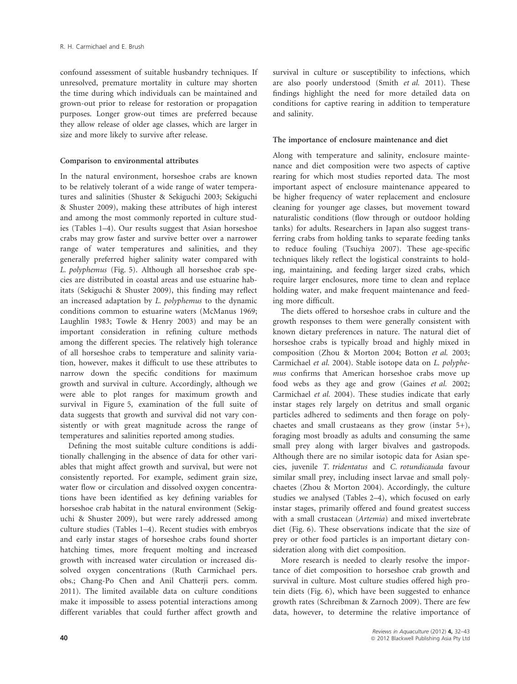confound assessment of suitable husbandry techniques. If unresolved, premature mortality in culture may shorten the time during which individuals can be maintained and grown-out prior to release for restoration or propagation purposes. Longer grow-out times are preferred because they allow release of older age classes, which are larger in size and more likely to survive after release.

#### Comparison to environmental attributes

In the natural environment, horseshoe crabs are known to be relatively tolerant of a wide range of water temperatures and salinities (Shuster & Sekiguchi 2003; Sekiguchi & Shuster 2009), making these attributes of high interest and among the most commonly reported in culture studies (Tables 1–4). Our results suggest that Asian horseshoe crabs may grow faster and survive better over a narrower range of water temperatures and salinities, and they generally preferred higher salinity water compared with L. polyphemus (Fig. 5). Although all horseshoe crab species are distributed in coastal areas and use estuarine habitats (Sekiguchi & Shuster 2009), this finding may reflect an increased adaptation by L. polyphemus to the dynamic conditions common to estuarine waters (McManus 1969; Laughlin 1983; Towle & Henry 2003) and may be an important consideration in refining culture methods among the different species. The relatively high tolerance of all horseshoe crabs to temperature and salinity variation, however, makes it difficult to use these attributes to narrow down the specific conditions for maximum growth and survival in culture. Accordingly, although we were able to plot ranges for maximum growth and survival in Figure 5, examination of the full suite of data suggests that growth and survival did not vary consistently or with great magnitude across the range of temperatures and salinities reported among studies.

Defining the most suitable culture conditions is additionally challenging in the absence of data for other variables that might affect growth and survival, but were not consistently reported. For example, sediment grain size, water flow or circulation and dissolved oxygen concentrations have been identified as key defining variables for horseshoe crab habitat in the natural environment (Sekiguchi & Shuster 2009), but were rarely addressed among culture studies (Tables 1–4). Recent studies with embryos and early instar stages of horseshoe crabs found shorter hatching times, more frequent molting and increased growth with increased water circulation or increased dissolved oxygen concentrations (Ruth Carmichael pers. obs.; Chang-Po Chen and Anil Chatterji pers. comm. 2011). The limited available data on culture conditions make it impossible to assess potential interactions among different variables that could further affect growth and survival in culture or susceptibility to infections, which are also poorly understood (Smith et al. 2011). These findings highlight the need for more detailed data on conditions for captive rearing in addition to temperature and salinity.

#### The importance of enclosure maintenance and diet

Along with temperature and salinity, enclosure maintenance and diet composition were two aspects of captive rearing for which most studies reported data. The most important aspect of enclosure maintenance appeared to be higher frequency of water replacement and enclosure cleaning for younger age classes, but movement toward naturalistic conditions (flow through or outdoor holding tanks) for adults. Researchers in Japan also suggest transferring crabs from holding tanks to separate feeding tanks to reduce fouling (Tsuchiya 2007). These age-specific techniques likely reflect the logistical constraints to holding, maintaining, and feeding larger sized crabs, which require larger enclosures, more time to clean and replace holding water, and make frequent maintenance and feeding more difficult.

The diets offered to horseshoe crabs in culture and the growth responses to them were generally consistent with known dietary preferences in nature. The natural diet of horseshoe crabs is typically broad and highly mixed in composition (Zhou & Morton 2004; Botton et al. 2003; Carmichael et al. 2004). Stable isotope data on L. polyphemus confirms that American horseshoe crabs move up food webs as they age and grow (Gaines et al. 2002; Carmichael et al. 2004). These studies indicate that early instar stages rely largely on detritus and small organic particles adhered to sediments and then forage on polychaetes and small crustaeans as they grow (instar 5+), foraging most broadly as adults and consuming the same small prey along with larger bivalves and gastropods. Although there are no similar isotopic data for Asian species, juvenile T. tridentatus and C. rotundicauda favour similar small prey, including insect larvae and small polychaetes (Zhou & Morton 2004). Accordingly, the culture studies we analysed (Tables 2–4), which focused on early instar stages, primarily offered and found greatest success with a small crustacean (Artemia) and mixed invertebrate diet (Fig. 6). These observations indicate that the size of prey or other food particles is an important dietary consideration along with diet composition.

More research is needed to clearly resolve the importance of diet composition to horseshoe crab growth and survival in culture. Most culture studies offered high protein diets (Fig. 6), which have been suggested to enhance growth rates (Schreibman & Zarnoch 2009). There are few data, however, to determine the relative importance of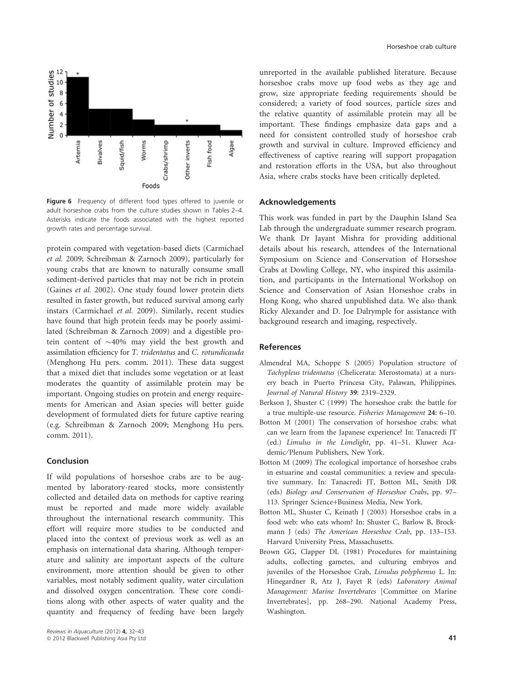

Figure 6 Frequency of different food types offered to juvenile or adult horseshoe crabs from the culture studies shown in Tables 2–4. Asterisks indicate the foods associated with the highest reported growth rates and percentage survival.

protein compared with vegetation-based diets (Carmichael et al. 2009; Schreibman & Zarnoch 2009), particularly for young crabs that are known to naturally consume small sediment-derived particles that may not be rich in protein (Gaines et al. 2002). One study found lower protein diets resulted in faster growth, but reduced survival among early instars (Carmichael et al. 2009). Similarly, recent studies have found that high protein feeds may be poorly assimilated (Schreibman & Zarnoch 2009) and a digestible protein content of  ${\sim}40\%$  may yield the best growth and assimilation efficiency for T. tridentatus and C. rotundicauda (Menghong Hu pers. comm. 2011). These data suggest that a mixed diet that includes some vegetation or at least moderates the quantity of assimilable protein may be important. Ongoing studies on protein and energy requirements for American and Asian species will better guide development of formulated diets for future captive rearing (e.g. Schreibman & Zarnoch 2009; Menghong Hu pers. comm. 2011).

#### Conclusion

If wild populations of horseshoe crabs are to be augmented by laboratory-reared stocks, more consistently collected and detailed data on methods for captive rearing must be reported and made more widely available throughout the international research community. This effort will require more studies to be conducted and placed into the context of previous work as well as an emphasis on international data sharing. Although temperature and salinity are important aspects of the culture environment, more attention should be given to other variables, most notably sediment quality, water circulation and dissolved oxygen concentration. These core conditions along with other aspects of water quality and the quantity and frequency of feeding have been largely unreported in the available published literature. Because horseshoe crabs move up food webs as they age and grow, size appropriate feeding requirements should be considered; a variety of food sources, particle sizes and the relative quantity of assimilable protein may all be important. These findings emphasize data gaps and a need for consistent controlled study of horseshoe crab growth and survival in culture. Improved efficiency and effectiveness of captive rearing will support propagation and restoration efforts in the USA, but also throughout Asia, where crabs stocks have been critically depleted.

#### Acknowledgements

This work was funded in part by the Dauphin Island Sea Lab through the undergraduate summer research program. We thank Dr Jayant Mishra for providing additional details about his research, attendees of the International Symposium on Science and Conservation of Horseshoe Crabs at Dowling College, NY, who inspired this assimilation, and participants in the International Workshop on Science and Conservation of Asian Horseshoe crabs in Hong Kong, who shared unpublished data. We also thank Ricky Alexander and D. Joe Dalrymple for assistance with background research and imaging, respectively.

#### References

- Almendral MA, Schoppe S (2005) Population structure of Tachypleus tridentatus (Chelicerata: Merostomata) at a nursery beach in Puerto Princesa City, Palawan, Philippines. Journal of Natural History 39: 2319–2329.
- Berkson J, Shuster C (1999) The horseshoe crab: the battle for a true multiple-use resource. Fisheries Management 24: 6–10.
- Botton M (2001) The conservation of horseshoe crabs: what can we learn from the Japanese experience? In: Tanacredi JT (ed.) Limulus in the Limelight, pp. 41–51. Kluwer Academic/Plenum Publishers, New York.
- Botton M (2009) The ecological importance of horseshoe crabs in estuarine and coastal communities: a review and speculative summary. In: Tanacredi JT, Botton ML, Smith DR (eds) Biology and Conservation of Horseshoe Crabs, pp. 97– 113. Springer Science+Business Media, New York.
- Botton ML, Shuster C, Keinath J (2003) Horseshoe crabs in a food web: who eats whom? In: Shuster C, Barlow B, Brockmann J (eds) The American Horseshoe Crab, pp. 133–153. Harvard University Press, Massachusetts.
- Brown GG, Clapper DL (1981) Procedures for maintaining adults, collecting gametes, and culturing embryos and juveniles of the Horseshoe Crab, Limulus polyphemus L. In: Hinegardner R, Atz J, Fayet R (eds) Laboratory Animal Management: Marine Invertebrates [Committee on Marine Invertebrates], pp. 268–290. National Academy Press, Washington.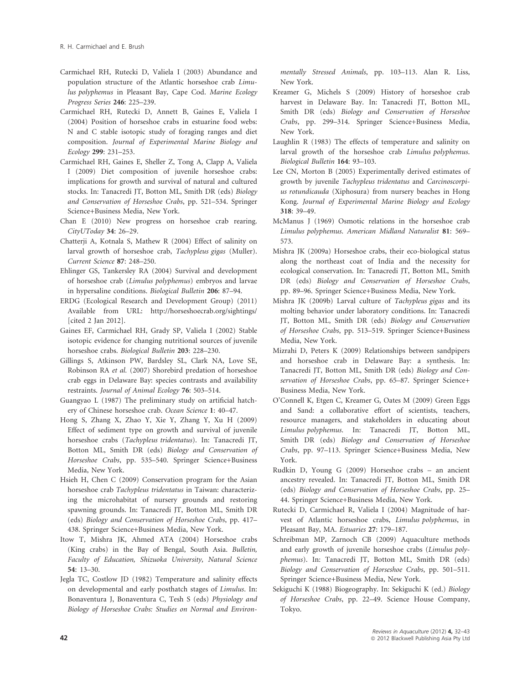- Carmichael RH, Rutecki D, Valiela I (2003) Abundance and population structure of the Atlantic horseshoe crab Limulus polyphemus in Pleasant Bay, Cape Cod. Marine Ecology Progress Series 246: 225–239.
- Carmichael RH, Rutecki D, Annett B, Gaines E, Valiela I (2004) Position of horseshoe crabs in estuarine food webs: N and C stable isotopic study of foraging ranges and diet composition. Journal of Experimental Marine Biology and Ecology 299: 231–253.
- Carmichael RH, Gaines E, Sheller Z, Tong A, Clapp A, Valiela I (2009) Diet composition of juvenile horseshoe crabs: implications for growth and survival of natural and cultured stocks. In: Tanacredi JT, Botton ML, Smith DR (eds) Biology and Conservation of Horseshoe Crabs, pp. 521–534. Springer Science+Business Media, New York.
- Chan E (2010) New progress on horseshoe crab rearing. CityUToday 34: 26–29.
- Chatterji A, Kotnala S, Mathew R (2004) Effect of salinity on larval growth of horseshoe crab, Tachypleus gigas (Muller). Current Science 87: 248–250.
- Ehlinger GS, Tankersley RA (2004) Survival and development of horseshoe crab (Limulus polyphemus) embryos and larvae in hypersaline conditions. Biological Bulletin 206: 87–94.
- ERDG (Ecological Research and Development Group) (2011) Available from URL: http://horseshoecrab.org/sightings/ [cited 2 Jan 2012].
- Gaines EF, Carmichael RH, Grady SP, Valiela I (2002) Stable isotopic evidence for changing nutritional sources of juvenile horseshoe crabs. Biological Bulletin 203: 228–230.
- Gillings S, Atkinson PW, Bardsley SL, Clark NA, Love SE, Robinson RA et al. (2007) Shorebird predation of horseshoe crab eggs in Delaware Bay: species contrasts and availability restraints. Journal of Animal Ecology 76: 503–514.
- Guangyao L (1987) The preliminary study on artificial hatchery of Chinese horseshoe crab. Ocean Science 1: 40–47.
- Hong S, Zhang X, Zhao Y, Xie Y, Zhang Y, Xu H (2009) Effect of sediment type on growth and survival of juvenile horseshoe crabs (Tachypleus tridentatus). In: Tanacredi JT, Botton ML, Smith DR (eds) Biology and Conservation of Horseshoe Crabs, pp. 535–540. Springer Science+Business Media, New York.
- Hsieh H, Chen C (2009) Conservation program for the Asian horseshoe crab Tachypleus tridentatus in Taiwan: characterizing the microhabitat of nursery grounds and restoring spawning grounds. In: Tanacredi JT, Botton ML, Smith DR (eds) Biology and Conservation of Horseshoe Crabs, pp. 417– 438. Springer Science+Business Media, New York.
- Itow T, Mishra JK, Ahmed ATA (2004) Horseshoe crabs (King crabs) in the Bay of Bengal, South Asia. Bulletin, Faculty of Education, Shizuoka University, Natural Science 54: 13–30.
- Jegla TC, Costlow JD (1982) Temperature and salinity effects on developmental and early posthatch stages of Limulus. In: Bonaventura J, Bonaventura C, Tesh S (eds) Physiology and Biology of Horseshoe Crabs: Studies on Normal and Environ-

mentally Stressed Animals, pp. 103–113. Alan R. Liss, New York.

- Kreamer G, Michels S (2009) History of horseshoe crab harvest in Delaware Bay. In: Tanacredi JT, Botton ML, Smith DR (eds) Biology and Conservation of Horseshoe Crabs, pp. 299–314. Springer Science+Business Media, New York.
- Laughlin R (1983) The effects of temperature and salinity on larval growth of the horseshoe crab Limulus polyphemus. Biological Bulletin 164: 93–103.
- Lee CN, Morton B (2005) Experimentally derived estimates of growth by juvenile Tachypleus tridentatus and Carcinoscorpius rotundicauda (Xiphosura) from nursery beaches in Hong Kong. Journal of Experimental Marine Biology and Ecology 318: 39–49.
- McManus J (1969) Osmotic relations in the horseshoe crab Limulus polyphemus. American Midland Naturalist 81: 569– 573.
- Mishra JK (2009a) Horseshoe crabs, their eco-biological status along the northeast coat of India and the necessity for ecological conservation. In: Tanacredi JT, Botton ML, Smith DR (eds) Biology and Conservation of Horseshoe Crabs, pp. 89–96. Springer Science+Business Media, New York.
- Mishra JK (2009b) Larval culture of Tachypleus gigas and its molting behavior under laboratory conditions. In: Tanacredi JT, Botton ML, Smith DR (eds) Biology and Conservation of Horseshoe Crabs, pp. 513–519. Springer Science+Business Media, New York.
- Mizrahi D, Peters K (2009) Relationships between sandpipers and horseshoe crab in Delaware Bay: a synthesis. In: Tanacredi JT, Botton ML, Smith DR (eds) Biology and Conservation of Horseshoe Crabs, pp. 65–87. Springer Science+ Business Media, New York.
- O'Connell K, Etgen C, Kreamer G, Oates M (2009) Green Eggs and Sand: a collaborative effort of scientists, teachers, resource managers, and stakeholders in educating about Limulus polyphemus. In: Tanacredi JT, Botton ML, Smith DR (eds) Biology and Conservation of Horseshoe Crabs, pp. 97–113. Springer Science+Business Media, New York.
- Rudkin D, Young G (2009) Horseshoe crabs an ancient ancestry revealed. In: Tanacredi JT, Botton ML, Smith DR (eds) Biology and Conservation of Horseshoe Crabs, pp. 25– 44. Springer Science+Business Media, New York.
- Rutecki D, Carmichael R, Valiela I (2004) Magnitude of harvest of Atlantic horseshoe crabs, Limulus polyphemus, in Pleasant Bay, MA. Estuaries 27: 179–187.
- Schreibman MP, Zarnoch CB (2009) Aquaculture methods and early growth of juvenile horseshoe crabs (Limulus polyphemus). In: Tanacredi JT, Botton ML, Smith DR (eds) Biology and Conservation of Horseshoe Crabs, pp. 501–511. Springer Science+Business Media, New York.
- Sekiguchi K (1988) Biogeography. In: Sekiguchi K (ed.) Biology of Horseshoe Crabs, pp. 22–49. Science House Company, Tokyo.